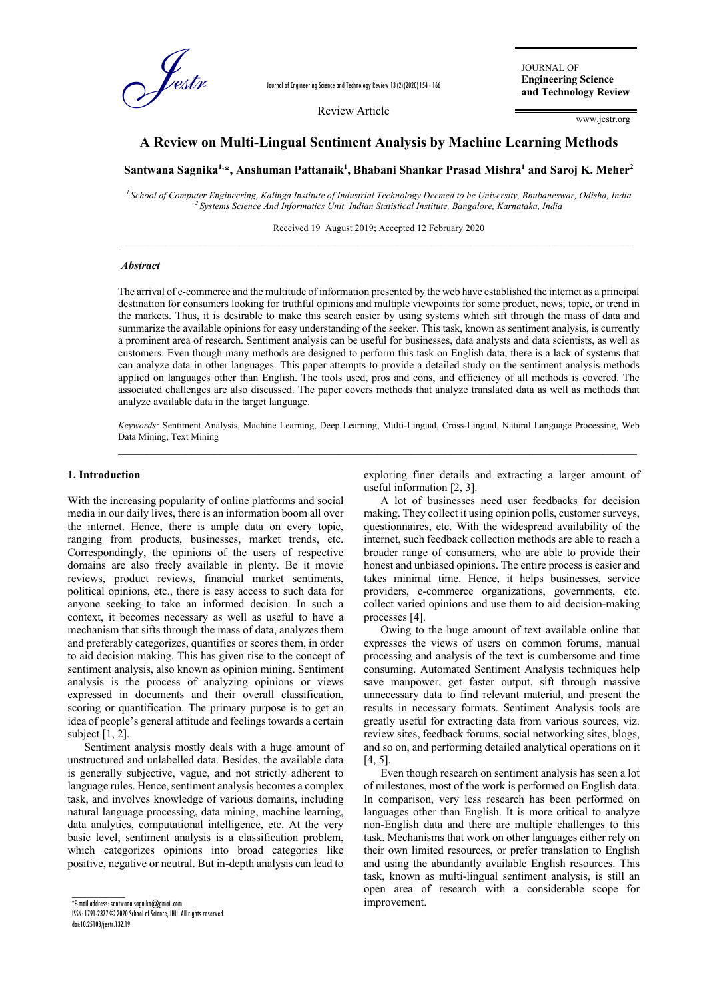

Journal of Engineering Science and Technology Review 13 (2) (2020) 154 - 166

Review Article

JOURNAL OF **Engineering Science and Technology Review**

www.jestr.org

# **A Review on Multi-Lingual Sentiment Analysis by Machine Learning Methods** A Review on Multi-Lingual Sentiment Analysis by Machine Learning Methods<br>Santwana Sagnika<sup>1,\*</sup>, Anshuman Pattanaik<sup>1</sup>, Bhabani Shankar Prasad Mishra<sup>1</sup> and Saroj K. Meher<sup>2</sup>

*1 School of Computer Engineering, Kalinga Institute of Industrial Technology Deemed to be University, Bhubaneswar, Odisha, India 2 Systems Science And Informatics Unit, Indian Statistical Institute, Bangalore, Karnataka, India*

Received 19 August 2019; Accepted 12 February 2020  $\_$  ,  $\_$  ,  $\_$  ,  $\_$  ,  $\_$  ,  $\_$  ,  $\_$  ,  $\_$  ,  $\_$  ,  $\_$  ,  $\_$  ,  $\_$  ,  $\_$  ,  $\_$  ,  $\_$  ,  $\_$  ,  $\_$  ,  $\_$  ,  $\_$  ,  $\_$  ,  $\_$  ,  $\_$  ,  $\_$  ,  $\_$  ,  $\_$  ,  $\_$  ,  $\_$  ,  $\_$  ,  $\_$  ,  $\_$  ,  $\_$  ,  $\_$  ,  $\_$  ,  $\_$  ,  $\_$  ,  $\_$  ,  $\_$  ,

#### *Abstract*

The arrival of e-commerce and the multitude of information presented by the web have established the internet as a principal destination for consumers looking for truthful opinions and multiple viewpoints for some product, news, topic, or trend in the markets. Thus, it is desirable to make this search easier by using systems which sift through the mass of data and summarize the available opinions for easy understanding of the seeker. This task, known as sentiment analysis, is currently a prominent area of research. Sentiment analysis can be useful for businesses, data analysts and data scientists, as well as customers. Even though many methods are designed to perform this task on English data, there is a lack of systems that can analyze data in other languages. This paper attempts to provide a detailed study on the sentiment analysis methods applied on languages other than English. The tools used, pros and cons, and efficiency of all methods is covered. The associated challenges are also discussed. The paper covers methods that analyze translated data as well as methods that analyze available data in the target language.

*Keywords:* Sentiment Analysis, Machine Learning, Deep Learning, Multi-Lingual, Cross-Lingual, Natural Language Processing, Web Data Mining, Text Mining

#### **1. Introduction**

With the increasing popularity of online platforms and social media in our daily lives, there is an information boom all over the internet. Hence, there is ample data on every topic, ranging from products, businesses, market trends, etc. Correspondingly, the opinions of the users of respective domains are also freely available in plenty. Be it movie reviews, product reviews, financial market sentiments, political opinions, etc., there is easy access to such data for anyone seeking to take an informed decision. In such a context, it becomes necessary as well as useful to have a mechanism that sifts through the mass of data, analyzes them and preferably categorizes, quantifies or scores them, in order to aid decision making. This has given rise to the concept of sentiment analysis, also known as opinion mining. Sentiment analysis is the process of analyzing opinions or views expressed in documents and their overall classification, scoring or quantification. The primary purpose is to get an idea of people's general attitude and feelings towards a certain subject  $[1, 2]$ .

Sentiment analysis mostly deals with a huge amount of unstructured and unlabelled data. Besides, the available data is generally subjective, vague, and not strictly adherent to language rules. Hence, sentiment analysis becomes a complex task, and involves knowledge of various domains, including natural language processing, data mining, machine learning, data analytics, computational intelligence, etc. At the very basic level, sentiment analysis is a classification problem, which categorizes opinions into broad categories like positive, negative or neutral. But in-depth analysis can lead to

 $\overline{\text{F-mail}}$  address: santwana.saanika@amail.com ISSN: 1791-2377 © 2020 School of Science, IHU. All rights reserved. doi:10.25103/jestr.132.19

 $\overline{\phantom{a}}$ 

exploring finer details and extracting a larger amount of useful information [2, 3].

A lot of businesses need user feedbacks for decision making. They collect it using opinion polls, customer surveys, questionnaires, etc. With the widespread availability of the internet, such feedback collection methods are able to reach a broader range of consumers, who are able to provide their honest and unbiased opinions. The entire process is easier and takes minimal time. Hence, it helps businesses, service providers, e-commerce organizations, governments, etc. collect varied opinions and use them to aid decision-making processes [4].

Owing to the huge amount of text available online that expresses the views of users on common forums, manual processing and analysis of the text is cumbersome and time consuming. Automated Sentiment Analysis techniques help save manpower, get faster output, sift through massive unnecessary data to find relevant material, and present the results in necessary formats. Sentiment Analysis tools are greatly useful for extracting data from various sources, viz. review sites, feedback forums, social networking sites, blogs, and so on, and performing detailed analytical operations on it [4, 5].

Even though research on sentiment analysis has seen a lot of milestones, most of the work is performed on English data. In comparison, very less research has been performed on languages other than English. It is more critical to analyze non-English data and there are multiple challenges to this task. Mechanisms that work on other languages either rely on their own limited resources, or prefer translation to English and using the abundantly available English resources. This task, known as multi-lingual sentiment analysis, is still an open area of research with a considerable scope for improvement.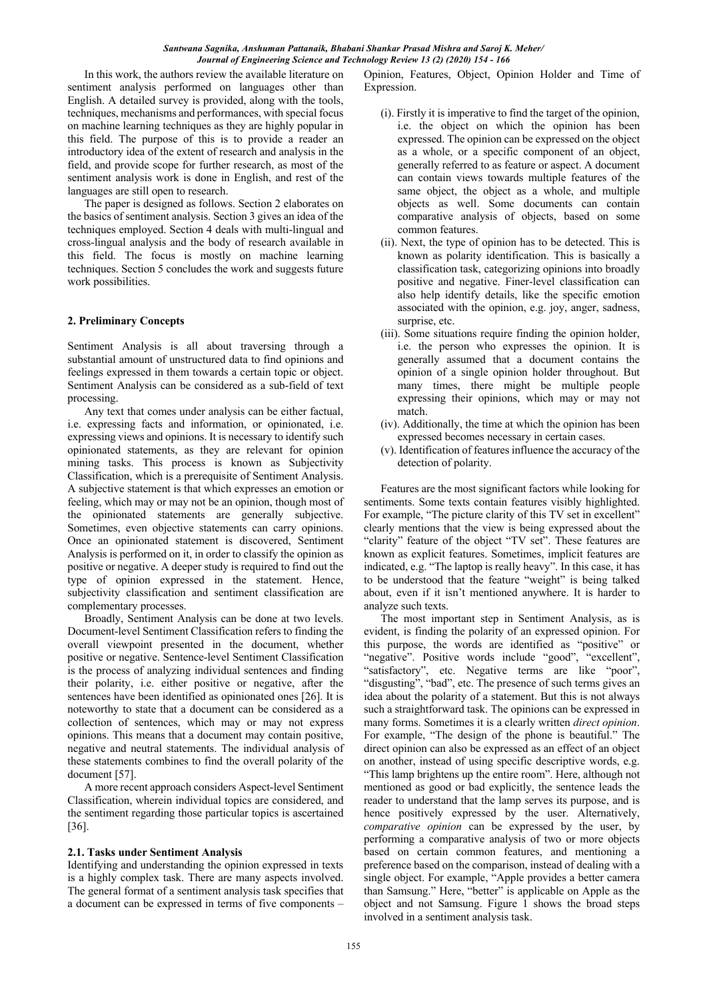In this work, the authors review the available literature on sentiment analysis performed on languages other than English. A detailed survey is provided, along with the tools, techniques, mechanisms and performances, with special focus on machine learning techniques as they are highly popular in this field. The purpose of this is to provide a reader an introductory idea of the extent of research and analysis in the field, and provide scope for further research, as most of the sentiment analysis work is done in English, and rest of the languages are still open to research.

The paper is designed as follows. Section 2 elaborates on the basics of sentiment analysis. Section 3 gives an idea of the techniques employed. Section 4 deals with multi-lingual and cross-lingual analysis and the body of research available in this field. The focus is mostly on machine learning techniques. Section 5 concludes the work and suggests future work possibilities.

### **2. Preliminary Concepts**

Sentiment Analysis is all about traversing through a substantial amount of unstructured data to find opinions and feelings expressed in them towards a certain topic or object. Sentiment Analysis can be considered as a sub-field of text processing.

Any text that comes under analysis can be either factual, i.e. expressing facts and information, or opinionated, i.e. expressing views and opinions. It is necessary to identify such opinionated statements, as they are relevant for opinion mining tasks. This process is known as Subjectivity Classification, which is a prerequisite of Sentiment Analysis. A subjective statement is that which expresses an emotion or feeling, which may or may not be an opinion, though most of the opinionated statements are generally subjective. Sometimes, even objective statements can carry opinions. Once an opinionated statement is discovered, Sentiment Analysis is performed on it, in order to classify the opinion as positive or negative. A deeper study is required to find out the type of opinion expressed in the statement. Hence, subjectivity classification and sentiment classification are complementary processes.

Broadly, Sentiment Analysis can be done at two levels. Document-level Sentiment Classification refers to finding the overall viewpoint presented in the document, whether positive or negative. Sentence-level Sentiment Classification is the process of analyzing individual sentences and finding their polarity, i.e. either positive or negative, after the sentences have been identified as opinionated ones [26]. It is noteworthy to state that a document can be considered as a collection of sentences, which may or may not express opinions. This means that a document may contain positive, negative and neutral statements. The individual analysis of these statements combines to find the overall polarity of the document [57].

A more recent approach considers Aspect-level Sentiment Classification, wherein individual topics are considered, and the sentiment regarding those particular topics is ascertained [36].

#### **2.1. Tasks under Sentiment Analysis**

Identifying and understanding the opinion expressed in texts is a highly complex task. There are many aspects involved. The general format of a sentiment analysis task specifies that a document can be expressed in terms of five components –

Opinion, Features, Object, Opinion Holder and Time of Expression.

- (i). Firstly it is imperative to find the target of the opinion, i.e. the object on which the opinion has been expressed. The opinion can be expressed on the object as a whole, or a specific component of an object, generally referred to as feature or aspect. A document can contain views towards multiple features of the same object, the object as a whole, and multiple objects as well. Some documents can contain comparative analysis of objects, based on some common features.
- (ii). Next, the type of opinion has to be detected. This is known as polarity identification. This is basically a classification task, categorizing opinions into broadly positive and negative. Finer-level classification can also help identify details, like the specific emotion associated with the opinion, e.g. joy, anger, sadness, surprise, etc.
- (iii). Some situations require finding the opinion holder, i.e. the person who expresses the opinion. It is generally assumed that a document contains the opinion of a single opinion holder throughout. But many times, there might be multiple people expressing their opinions, which may or may not match.
- (iv). Additionally, the time at which the opinion has been expressed becomes necessary in certain cases.
- (v). Identification of features influence the accuracy of the detection of polarity.

Features are the most significant factors while looking for sentiments. Some texts contain features visibly highlighted. For example, "The picture clarity of this TV set in excellent" clearly mentions that the view is being expressed about the "clarity" feature of the object "TV set". These features are known as explicit features. Sometimes, implicit features are indicated, e.g. "The laptop is really heavy". In this case, it has to be understood that the feature "weight" is being talked about, even if it isn't mentioned anywhere. It is harder to analyze such texts.

The most important step in Sentiment Analysis, as is evident, is finding the polarity of an expressed opinion. For this purpose, the words are identified as "positive" or "negative". Positive words include "good", "excellent", "satisfactory", etc. Negative terms are like "poor", "disgusting", "bad", etc. The presence of such terms gives an idea about the polarity of a statement. But this is not always such a straightforward task. The opinions can be expressed in many forms. Sometimes it is a clearly written *direct opinion*. For example, "The design of the phone is beautiful." The direct opinion can also be expressed as an effect of an object on another, instead of using specific descriptive words, e.g. "This lamp brightens up the entire room". Here, although not mentioned as good or bad explicitly, the sentence leads the reader to understand that the lamp serves its purpose, and is hence positively expressed by the user. Alternatively, *comparative opinion* can be expressed by the user, by performing a comparative analysis of two or more objects based on certain common features, and mentioning a preference based on the comparison, instead of dealing with a single object. For example, "Apple provides a better camera than Samsung." Here, "better" is applicable on Apple as the object and not Samsung. Figure 1 shows the broad steps involved in a sentiment analysis task.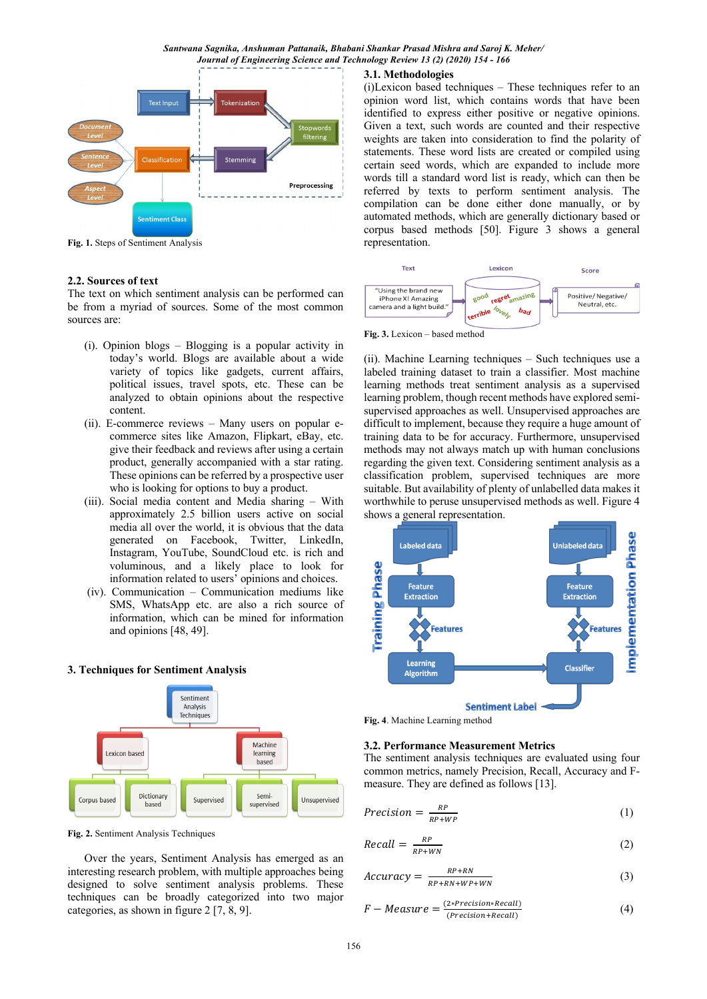

**Fig. 1.** Steps of Sentiment Analysis

#### **2.2. Sources of text**

The text on which sentiment analysis can be performed can be from a myriad of sources. Some of the most common sources are:

- (i). Opinion blogs Blogging is a popular activity in today's world. Blogs are available about a wide variety of topics like gadgets, current affairs, political issues, travel spots, etc. These can be analyzed to obtain opinions about the respective content.
- (ii). E-commerce reviews Many users on popular ecommerce sites like Amazon, Flipkart, eBay, etc. give their feedback and reviews after using a certain product, generally accompanied with a star rating. These opinions can be referred by a prospective user who is looking for options to buy a product.
- (iii). Social media content and Media sharing With approximately 2.5 billion users active on social media all over the world, it is obvious that the data generated on Facebook, Twitter, LinkedIn, Instagram, YouTube, SoundCloud etc. is rich and voluminous, and a likely place to look for information related to users' opinions and choices.
- (iv). Communication Communication mediums like SMS, WhatsApp etc. are also a rich source of information, which can be mined for information and opinions [48, 49].

#### **3. Techniques for Sentiment Analysis**



**Fig. 2.** Sentiment Analysis Techniques

Over the years, Sentiment Analysis has emerged as an interesting research problem, with multiple approaches being designed to solve sentiment analysis problems. These techniques can be broadly categorized into two major categories, as shown in figure 2 [7, 8, 9].

#### **3.1. Methodologies**

(i)Lexicon based techniques – These techniques refer to an opinion word list, which contains words that have been identified to express either positive or negative opinions. Given a text, such words are counted and their respective weights are taken into consideration to find the polarity of statements. These word lists are created or compiled using certain seed words, which are expanded to include more words till a standard word list is ready, which can then be referred by texts to perform sentiment analysis. The compilation can be done either done manually, or by automated methods, which are generally dictionary based or corpus based methods [50]. Figure 3 shows a general representation.



(ii). Machine Learning techniques – Such techniques use a labeled training dataset to train a classifier. Most machine learning methods treat sentiment analysis as a supervised learning problem, though recent methods have explored semisupervised approaches as well. Unsupervised approaches are difficult to implement, because they require a huge amount of training data to be for accuracy. Furthermore, unsupervised methods may not always match up with human conclusions regarding the given text. Considering sentiment analysis as a classification problem, supervised techniques are more suitable. But availability of plenty of unlabelled data makes it worthwhile to peruse unsupervised methods as well. Figure 4 shows a general representation.





## **3.2. Performance Measurement Metrics**

The sentiment analysis techniques are evaluated using four common metrics, namely Precision, Recall, Accuracy and Fmeasure. They are defined as follows [13].

$$
Precision = \frac{RP}{RP + WP} \tag{1}
$$

$$
Recall = \frac{RP}{RP + WN}
$$
 (2)

$$
Accuracy = \frac{RP + RN}{RP + RN + WP +WN}
$$
 (3)

$$
F-Measure = \frac{(2*Precision*Recall)}{(Precision+Recall)}
$$
(4)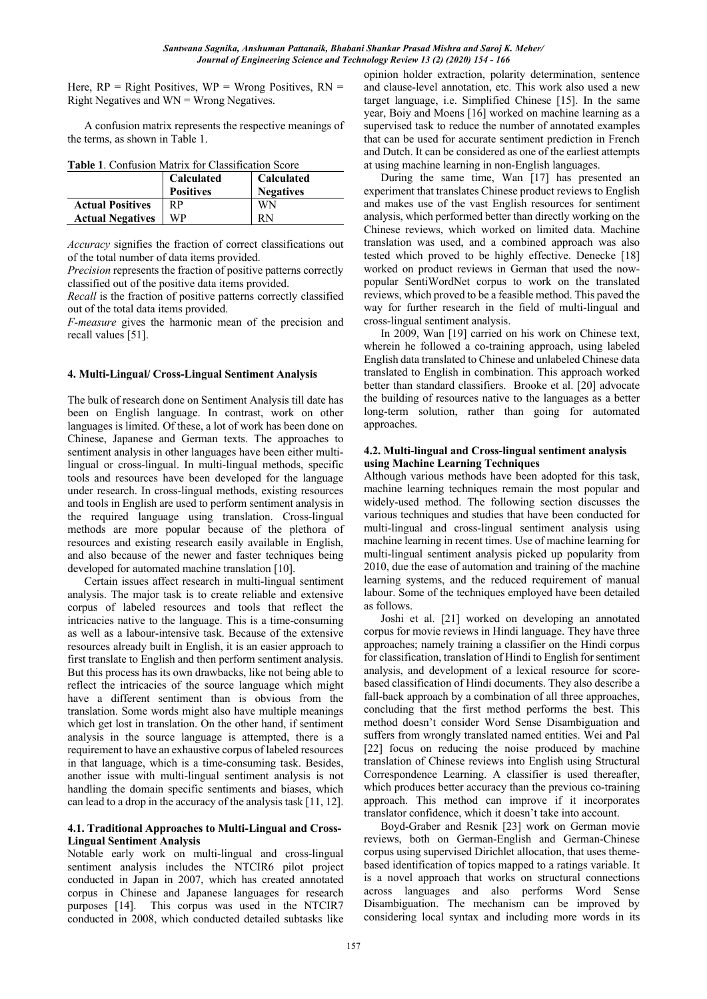Here,  $RP = Right$  Positives,  $WP = W$ rong Positives,  $RN =$ Right Negatives and  $WN = Wrong$  Negatives.

A confusion matrix represents the respective meanings of the terms, as shown in Table 1.

| <b>Table 1.</b> Confusion Matrix for Classification Score |                  |                   |  |  |
|-----------------------------------------------------------|------------------|-------------------|--|--|
|                                                           | Calculated       | <b>Calculated</b> |  |  |
|                                                           | <b>Positives</b> | <b>Negatives</b>  |  |  |
| <b>Actual Positives</b>                                   | <b>RP</b>        | WN                |  |  |
| <b>Actual Negatives</b>                                   | WP               | RN                |  |  |

*Accuracy* signifies the fraction of correct classifications out of the total number of data items provided.

*Precision* represents the fraction of positive patterns correctly classified out of the positive data items provided.

*Recall* is the fraction of positive patterns correctly classified out of the total data items provided.

*F-measure* gives the harmonic mean of the precision and recall values [51].

### **4. Multi-Lingual/ Cross-Lingual Sentiment Analysis**

The bulk of research done on Sentiment Analysis till date has been on English language. In contrast, work on other languages is limited. Of these, a lot of work has been done on Chinese, Japanese and German texts. The approaches to sentiment analysis in other languages have been either multilingual or cross-lingual. In multi-lingual methods, specific tools and resources have been developed for the language under research. In cross-lingual methods, existing resources and tools in English are used to perform sentiment analysis in the required language using translation. Cross-lingual methods are more popular because of the plethora of resources and existing research easily available in English, and also because of the newer and faster techniques being developed for automated machine translation [10].

Certain issues affect research in multi-lingual sentiment analysis. The major task is to create reliable and extensive corpus of labeled resources and tools that reflect the intricacies native to the language. This is a time-consuming as well as a labour-intensive task. Because of the extensive resources already built in English, it is an easier approach to first translate to English and then perform sentiment analysis. But this process has its own drawbacks, like not being able to reflect the intricacies of the source language which might have a different sentiment than is obvious from the translation. Some words might also have multiple meanings which get lost in translation. On the other hand, if sentiment analysis in the source language is attempted, there is a requirement to have an exhaustive corpus of labeled resources in that language, which is a time-consuming task. Besides, another issue with multi-lingual sentiment analysis is not handling the domain specific sentiments and biases, which can lead to a drop in the accuracy of the analysis task [11, 12].

#### **4.1. Traditional Approaches to Multi-Lingual and Cross-Lingual Sentiment Analysis**

Notable early work on multi-lingual and cross-lingual sentiment analysis includes the NTCIR6 pilot project conducted in Japan in 2007, which has created annotated corpus in Chinese and Japanese languages for research purposes [14]. This corpus was used in the NTCIR7 conducted in 2008, which conducted detailed subtasks like

opinion holder extraction, polarity determination, sentence and clause-level annotation, etc. This work also used a new target language, i.e. Simplified Chinese [15]. In the same year, Boiy and Moens [16] worked on machine learning as a supervised task to reduce the number of annotated examples that can be used for accurate sentiment prediction in French and Dutch. It can be considered as one of the earliest attempts at using machine learning in non-English languages.

During the same time, Wan [17] has presented an experiment that translates Chinese product reviews to English and makes use of the vast English resources for sentiment analysis, which performed better than directly working on the Chinese reviews, which worked on limited data. Machine translation was used, and a combined approach was also tested which proved to be highly effective. Denecke [18] worked on product reviews in German that used the nowpopular SentiWordNet corpus to work on the translated reviews, which proved to be a feasible method. This paved the way for further research in the field of multi-lingual and cross-lingual sentiment analysis.

In 2009, Wan [19] carried on his work on Chinese text, wherein he followed a co-training approach, using labeled English data translated to Chinese and unlabeled Chinese data translated to English in combination. This approach worked better than standard classifiers. Brooke et al. [20] advocate the building of resources native to the languages as a better long-term solution, rather than going for automated approaches.

#### **4.2. Multi-lingual and Cross-lingual sentiment analysis using Machine Learning Techniques**

Although various methods have been adopted for this task, machine learning techniques remain the most popular and widely-used method. The following section discusses the various techniques and studies that have been conducted for multi-lingual and cross-lingual sentiment analysis using machine learning in recent times. Use of machine learning for multi-lingual sentiment analysis picked up popularity from 2010, due the ease of automation and training of the machine learning systems, and the reduced requirement of manual labour. Some of the techniques employed have been detailed as follows.

Joshi et al. [21] worked on developing an annotated corpus for movie reviews in Hindi language. They have three approaches; namely training a classifier on the Hindi corpus for classification, translation of Hindi to English for sentiment analysis, and development of a lexical resource for scorebased classification of Hindi documents. They also describe a fall-back approach by a combination of all three approaches, concluding that the first method performs the best. This method doesn't consider Word Sense Disambiguation and suffers from wrongly translated named entities. Wei and Pal [22] focus on reducing the noise produced by machine translation of Chinese reviews into English using Structural Correspondence Learning. A classifier is used thereafter, which produces better accuracy than the previous co-training approach. This method can improve if it incorporates translator confidence, which it doesn't take into account.

Boyd-Graber and Resnik [23] work on German movie reviews, both on German-English and German-Chinese corpus using supervised Dirichlet allocation, that uses themebased identification of topics mapped to a ratings variable. It is a novel approach that works on structural connections across languages and also performs Word Sense Disambiguation. The mechanism can be improved by considering local syntax and including more words in its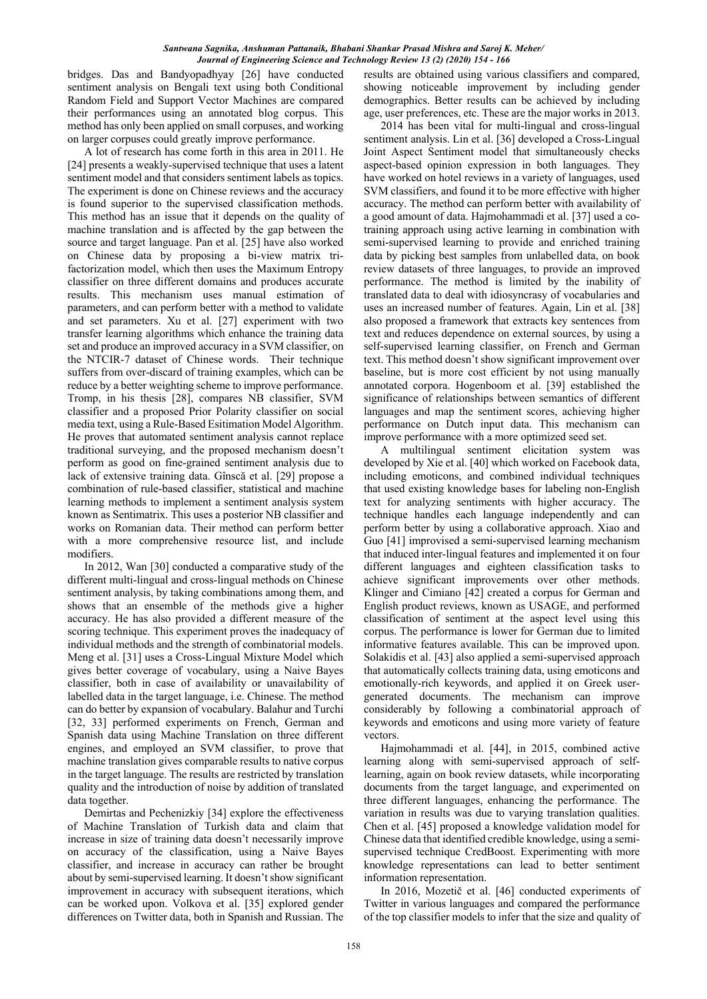bridges. Das and Bandyopadhyay [26] have conducted sentiment analysis on Bengali text using both Conditional Random Field and Support Vector Machines are compared their performances using an annotated blog corpus. This method has only been applied on small corpuses, and working on larger corpuses could greatly improve performance.

A lot of research has come forth in this area in 2011. He [24] presents a weakly-supervised technique that uses a latent sentiment model and that considers sentiment labels as topics. The experiment is done on Chinese reviews and the accuracy is found superior to the supervised classification methods. This method has an issue that it depends on the quality of machine translation and is affected by the gap between the source and target language. Pan et al. [25] have also worked on Chinese data by proposing a bi-view matrix trifactorization model, which then uses the Maximum Entropy classifier on three different domains and produces accurate results. This mechanism uses manual estimation of parameters, and can perform better with a method to validate and set parameters. Xu et al. [27] experiment with two transfer learning algorithms which enhance the training data set and produce an improved accuracy in a SVM classifier, on the NTCIR-7 dataset of Chinese words. Their technique suffers from over-discard of training examples, which can be reduce by a better weighting scheme to improve performance. Tromp, in his thesis [28], compares NB classifier, SVM classifier and a proposed Prior Polarity classifier on social media text, using a Rule-Based Esitimation Model Algorithm. He proves that automated sentiment analysis cannot replace traditional surveying, and the proposed mechanism doesn't perform as good on fine-grained sentiment analysis due to lack of extensive training data. Gînscă et al. [29] propose a combination of rule-based classifier, statistical and machine learning methods to implement a sentiment analysis system known as Sentimatrix. This uses a posterior NB classifier and works on Romanian data. Their method can perform better with a more comprehensive resource list, and include modifiers.

In 2012, Wan [30] conducted a comparative study of the different multi-lingual and cross-lingual methods on Chinese sentiment analysis, by taking combinations among them, and shows that an ensemble of the methods give a higher accuracy. He has also provided a different measure of the scoring technique. This experiment proves the inadequacy of individual methods and the strength of combinatorial models. Meng et al. [31] uses a Cross-Lingual Mixture Model which gives better coverage of vocabulary, using a Naive Bayes classifier, both in case of availability or unavailability of labelled data in the target language, i.e. Chinese. The method can do better by expansion of vocabulary. Balahur and Turchi [32, 33] performed experiments on French, German and Spanish data using Machine Translation on three different engines, and employed an SVM classifier, to prove that machine translation gives comparable results to native corpus in the target language. The results are restricted by translation quality and the introduction of noise by addition of translated data together.

Demirtas and Pechenizkiy [34] explore the effectiveness of Machine Translation of Turkish data and claim that increase in size of training data doesn't necessarily improve on accuracy of the classification, using a Naive Bayes classifier, and increase in accuracy can rather be brought about by semi-supervised learning. It doesn't show significant improvement in accuracy with subsequent iterations, which can be worked upon. Volkova et al. [35] explored gender differences on Twitter data, both in Spanish and Russian. The results are obtained using various classifiers and compared, showing noticeable improvement by including gender demographics. Better results can be achieved by including age, user preferences, etc. These are the major works in 2013.

2014 has been vital for multi-lingual and cross-lingual sentiment analysis. Lin et al. [36] developed a Cross-Lingual Joint Aspect Sentiment model that simultaneously checks aspect-based opinion expression in both languages. They have worked on hotel reviews in a variety of languages, used SVM classifiers, and found it to be more effective with higher accuracy. The method can perform better with availability of a good amount of data. Hajmohammadi et al. [37] used a cotraining approach using active learning in combination with semi-supervised learning to provide and enriched training data by picking best samples from unlabelled data, on book review datasets of three languages, to provide an improved performance. The method is limited by the inability of translated data to deal with idiosyncrasy of vocabularies and uses an increased number of features. Again, Lin et al. [38] also proposed a framework that extracts key sentences from text and reduces dependence on external sources, by using a self-supervised learning classifier, on French and German text. This method doesn't show significant improvement over baseline, but is more cost efficient by not using manually annotated corpora. Hogenboom et al. [39] established the significance of relationships between semantics of different languages and map the sentiment scores, achieving higher performance on Dutch input data. This mechanism can improve performance with a more optimized seed set.

A multilingual sentiment elicitation system was developed by Xie et al. [40] which worked on Facebook data, including emoticons, and combined individual techniques that used existing knowledge bases for labeling non-English text for analyzing sentiments with higher accuracy. The technique handles each language independently and can perform better by using a collaborative approach. Xiao and Guo [41] improvised a semi-supervised learning mechanism that induced inter-lingual features and implemented it on four different languages and eighteen classification tasks to achieve significant improvements over other methods. Klinger and Cimiano [42] created a corpus for German and English product reviews, known as USAGE, and performed classification of sentiment at the aspect level using this corpus. The performance is lower for German due to limited informative features available. This can be improved upon. Solakidis et al. [43] also applied a semi-supervised approach that automatically collects training data, using emoticons and emotionally-rich keywords, and applied it on Greek usergenerated documents. The mechanism can improve considerably by following a combinatorial approach of keywords and emoticons and using more variety of feature vectors.

Hajmohammadi et al. [44], in 2015, combined active learning along with semi-supervised approach of selflearning, again on book review datasets, while incorporating documents from the target language, and experimented on three different languages, enhancing the performance. The variation in results was due to varying translation qualities. Chen et al. [45] proposed a knowledge validation model for Chinese data that identified credible knowledge, using a semisupervised technique CredBoost. Experimenting with more knowledge representations can lead to better sentiment information representation.

In 2016, Mozetič et al. [46] conducted experiments of Twitter in various languages and compared the performance of the top classifier models to infer that the size and quality of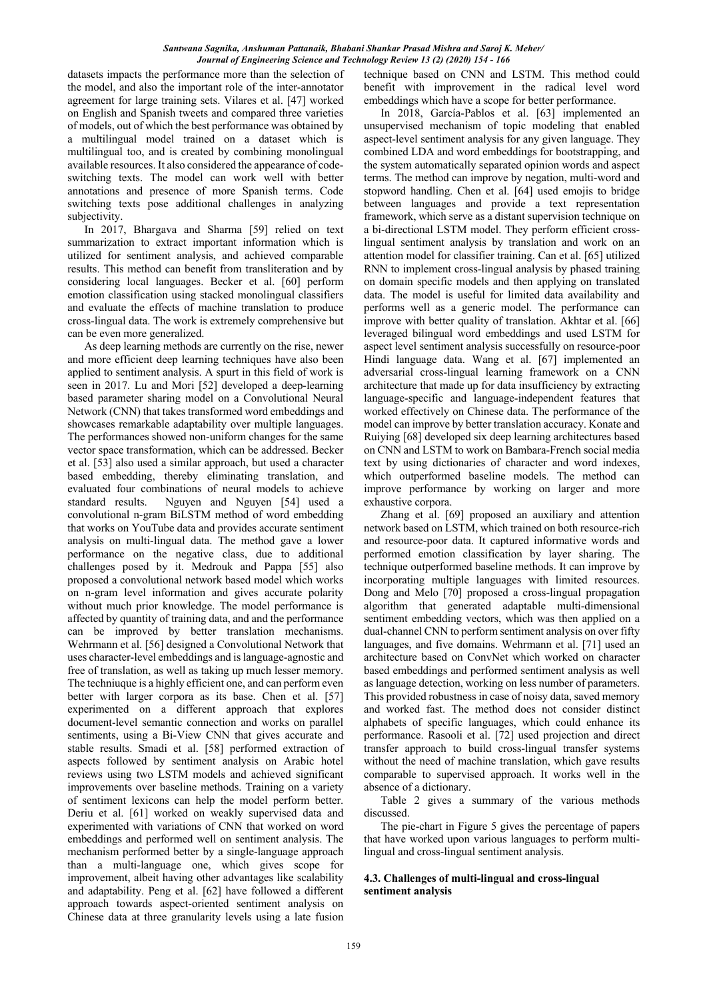datasets impacts the performance more than the selection of the model, and also the important role of the inter-annotator agreement for large training sets. Vilares et al. [47] worked on English and Spanish tweets and compared three varieties of models, out of which the best performance was obtained by a multilingual model trained on a dataset which is multilingual too, and is created by combining monolingual available resources. It also considered the appearance of codeswitching texts. The model can work well with better annotations and presence of more Spanish terms. Code switching texts pose additional challenges in analyzing subjectivity.

In 2017, Bhargava and Sharma [59] relied on text summarization to extract important information which is utilized for sentiment analysis, and achieved comparable results. This method can benefit from transliteration and by considering local languages. Becker et al. [60] perform emotion classification using stacked monolingual classifiers and evaluate the effects of machine translation to produce cross-lingual data. The work is extremely comprehensive but can be even more generalized.

As deep learning methods are currently on the rise, newer and more efficient deep learning techniques have also been applied to sentiment analysis. A spurt in this field of work is seen in 2017. Lu and Mori [52] developed a deep-learning based parameter sharing model on a Convolutional Neural Network (CNN) that takes transformed word embeddings and showcases remarkable adaptability over multiple languages. The performances showed non-uniform changes for the same vector space transformation, which can be addressed. Becker et al. [53] also used a similar approach, but used a character based embedding, thereby eliminating translation, and evaluated four combinations of neural models to achieve standard results. Nguyen and Nguyen [54] used a convolutional n-gram BiLSTM method of word embedding that works on YouTube data and provides accurate sentiment analysis on multi-lingual data. The method gave a lower performance on the negative class, due to additional challenges posed by it. Medrouk and Pappa [55] also proposed a convolutional network based model which works on n-gram level information and gives accurate polarity without much prior knowledge. The model performance is affected by quantity of training data, and and the performance can be improved by better translation mechanisms. Wehrmann et al. [56] designed a Convolutional Network that uses character-level embeddings and is language-agnostic and free of translation, as well as taking up much lesser memory. The techniuque is a highly efficient one, and can perform even better with larger corpora as its base. Chen et al. [57] experimented on a different approach that explores document-level semantic connection and works on parallel sentiments, using a Bi-View CNN that gives accurate and stable results. Smadi et al. [58] performed extraction of aspects followed by sentiment analysis on Arabic hotel reviews using two LSTM models and achieved significant improvements over baseline methods. Training on a variety of sentiment lexicons can help the model perform better. Deriu et al. [61] worked on weakly supervised data and experimented with variations of CNN that worked on word embeddings and performed well on sentiment analysis. The mechanism performed better by a single-language approach than a multi-language one, which gives scope for improvement, albeit having other advantages like scalability and adaptability. Peng et al. [62] have followed a different approach towards aspect-oriented sentiment analysis on Chinese data at three granularity levels using a late fusion

technique based on CNN and LSTM. This method could benefit with improvement in the radical level word embeddings which have a scope for better performance.

In 2018, García-Pablos et al. [63] implemented an unsupervised mechanism of topic modeling that enabled aspect-level sentiment analysis for any given language. They combined LDA and word embeddings for bootstrapping, and the system automatically separated opinion words and aspect terms. The method can improve by negation, multi-word and stopword handling. Chen et al. [64] used emojis to bridge between languages and provide a text representation framework, which serve as a distant supervision technique on a bi-directional LSTM model. They perform efficient crosslingual sentiment analysis by translation and work on an attention model for classifier training. Can et al. [65] utilized RNN to implement cross-lingual analysis by phased training on domain specific models and then applying on translated data. The model is useful for limited data availability and performs well as a generic model. The performance can improve with better quality of translation. Akhtar et al. [66] leveraged bilingual word embeddings and used LSTM for aspect level sentiment analysis successfully on resource-poor Hindi language data. Wang et al. [67] implemented an adversarial cross-lingual learning framework on a CNN architecture that made up for data insufficiency by extracting language-specific and language-independent features that worked effectively on Chinese data. The performance of the model can improve by better translation accuracy. Konate and Ruiying [68] developed six deep learning architectures based on CNN and LSTM to work on Bambara-French social media text by using dictionaries of character and word indexes, which outperformed baseline models. The method can improve performance by working on larger and more exhaustive corpora.

Zhang et al. [69] proposed an auxiliary and attention network based on LSTM, which trained on both resource-rich and resource-poor data. It captured informative words and performed emotion classification by layer sharing. The technique outperformed baseline methods. It can improve by incorporating multiple languages with limited resources. Dong and Melo [70] proposed a cross-lingual propagation algorithm that generated adaptable multi-dimensional sentiment embedding vectors, which was then applied on a dual-channel CNN to perform sentiment analysis on over fifty languages, and five domains. Wehrmann et al. [71] used an architecture based on ConvNet which worked on character based embeddings and performed sentiment analysis as well as language detection, working on less number of parameters. This provided robustness in case of noisy data, saved memory and worked fast. The method does not consider distinct alphabets of specific languages, which could enhance its performance. Rasooli et al. [72] used projection and direct transfer approach to build cross-lingual transfer systems without the need of machine translation, which gave results comparable to supervised approach. It works well in the absence of a dictionary.

Table 2 gives a summary of the various methods discussed.

The pie-chart in Figure 5 gives the percentage of papers that have worked upon various languages to perform multilingual and cross-lingual sentiment analysis.

### **4.3. Challenges of multi-lingual and cross-lingual sentiment analysis**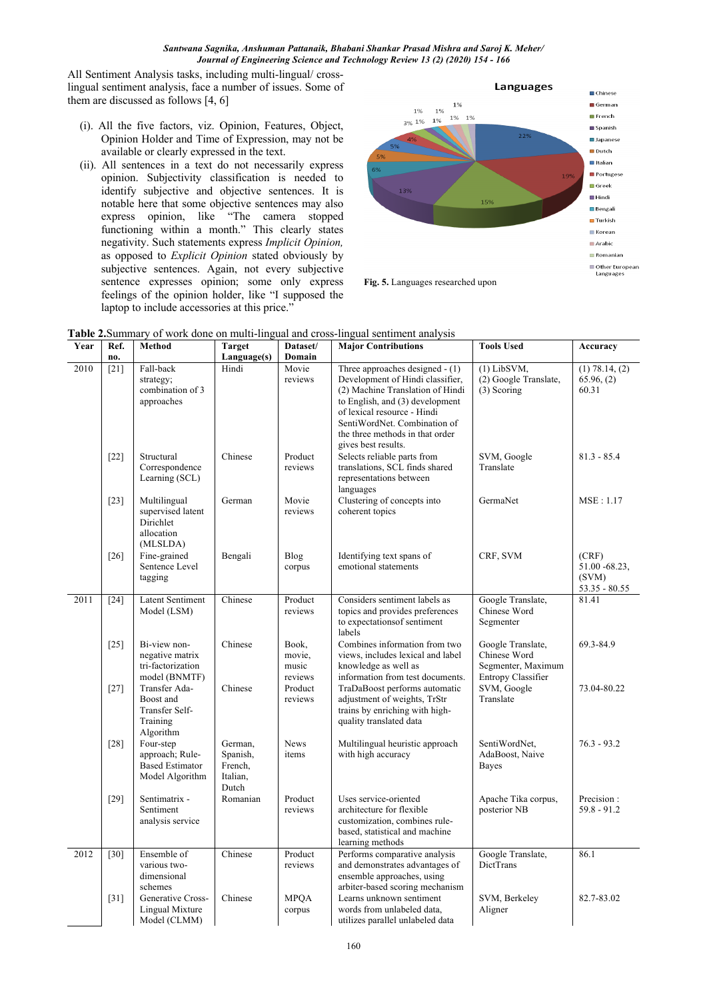All Sentiment Analysis tasks, including multi-lingual/ crosslingual sentiment analysis, face a number of issues. Some of them are discussed as follows [4, 6]

- (i). All the five factors, viz. Opinion, Features, Object, Opinion Holder and Time of Expression, may not be available or clearly expressed in the text.
- (ii). All sentences in a text do not necessarily express opinion. Subjectivity classification is needed to identify subjective and objective sentences. It is notable here that some objective sentences may also express opinion, like "The camera stopped functioning within a month." This clearly states negativity. Such statements express *Implicit Opinion,*  as opposed to *Explicit Opinion* stated obviously by subjective sentences. Again, not every subjective sentence expresses opinion; some only express feelings of the opinion holder, like "I supposed the laptop to include accessories at this price."



**Fig. 5.** Languages researched upon

| <b>Table 2.</b> Summary of work done on muni-imgual and cross-imgual sentiment analysis |        |                                           |                     |             |                                   |                                 |                    |  |
|-----------------------------------------------------------------------------------------|--------|-------------------------------------------|---------------------|-------------|-----------------------------------|---------------------------------|--------------------|--|
| Year                                                                                    | Ref.   | Method                                    | <b>Target</b>       | Dataset/    | <b>Major Contributions</b>        | <b>Tools Used</b>               | Accuracy           |  |
|                                                                                         | no.    |                                           | Language(s)         | Domain      |                                   |                                 |                    |  |
| 2010                                                                                    | $[21]$ | Fall-back                                 | Hindi               | Movie       | Three approaches designed $- (1)$ | $(1)$ LibSVM,                   | $(1)$ 78.14, $(2)$ |  |
|                                                                                         |        | strategy;                                 |                     | reviews     | Development of Hindi classifier,  | (2) Google Translate,           | 65.96, (2)         |  |
|                                                                                         |        | combination of 3                          |                     |             | (2) Machine Translation of Hindi  | $(3)$ Scoring                   | 60.31              |  |
|                                                                                         |        | approaches                                |                     |             | to English, and (3) development   |                                 |                    |  |
|                                                                                         |        |                                           |                     |             | of lexical resource - Hindi       |                                 |                    |  |
|                                                                                         |        |                                           |                     |             | SentiWordNet. Combination of      |                                 |                    |  |
|                                                                                         |        |                                           |                     |             | the three methods in that order   |                                 |                    |  |
|                                                                                         |        |                                           |                     |             | gives best results.               |                                 |                    |  |
|                                                                                         | $[22]$ | Structural                                | Chinese             | Product     | Selects reliable parts from       | SVM, Google                     | $81.3 - 85.4$      |  |
|                                                                                         |        | Correspondence                            |                     | reviews     | translations, SCL finds shared    | Translate                       |                    |  |
|                                                                                         |        | Learning (SCL)                            |                     |             | representations between           |                                 |                    |  |
|                                                                                         |        |                                           |                     |             | languages                         |                                 |                    |  |
|                                                                                         | $[23]$ | Multilingual                              | German              | Movie       | Clustering of concepts into       | GermaNet                        | MSE: 1.17          |  |
|                                                                                         |        | supervised latent                         |                     | reviews     | coherent topics                   |                                 |                    |  |
|                                                                                         |        | Dirichlet                                 |                     |             |                                   |                                 |                    |  |
|                                                                                         |        | allocation                                |                     |             |                                   |                                 |                    |  |
|                                                                                         |        | (MLSLDA)                                  |                     |             |                                   |                                 |                    |  |
|                                                                                         | $[26]$ | Fine-grained                              | Bengali             | Blog        | Identifying text spans of         | CRF, SVM                        | (CRF)              |  |
|                                                                                         |        | Sentence Level                            |                     | corpus      | emotional statements              |                                 | 51.00 - 68.23,     |  |
|                                                                                         |        | tagging                                   |                     |             |                                   |                                 | (SVM)              |  |
|                                                                                         |        |                                           |                     |             |                                   |                                 | $53.35 - 80.55$    |  |
| 2011                                                                                    | $[24]$ | <b>Latent Sentiment</b>                   | Chinese             | Product     | Considers sentiment labels as     | Google Translate,               | 81.41              |  |
|                                                                                         |        | Model (LSM)                               |                     | reviews     | topics and provides preferences   | Chinese Word                    |                    |  |
|                                                                                         |        |                                           |                     |             | to expectations of sentiment      | Segmenter                       |                    |  |
|                                                                                         |        |                                           |                     |             | labels                            |                                 |                    |  |
|                                                                                         | $[25]$ | Bi-view non-                              | Chinese             | Book,       | Combines information from two     | Google Translate,               | 69.3-84.9          |  |
|                                                                                         |        | negative matrix                           |                     | movie,      | views, includes lexical and label | Chinese Word                    |                    |  |
|                                                                                         |        | tri-factorization                         |                     | music       | knowledge as well as              | Segmenter, Maximum              |                    |  |
|                                                                                         |        | model (BNMTF)                             |                     | reviews     | information from test documents.  | Entropy Classifier              |                    |  |
|                                                                                         | $[27]$ | Transfer Ada-                             | Chinese             | Product     | TraDaBoost performs automatic     | SVM, Google                     | 73.04-80.22        |  |
|                                                                                         |        | Boost and                                 |                     | reviews     | adjustment of weights, TrStr      | Translate                       |                    |  |
|                                                                                         |        | Transfer Self-                            |                     |             | trains by enriching with high-    |                                 |                    |  |
|                                                                                         |        |                                           |                     |             | quality translated data           |                                 |                    |  |
|                                                                                         |        | Training<br>Algorithm                     |                     |             |                                   |                                 |                    |  |
|                                                                                         | $[28]$ | Four-step                                 | German,             | <b>News</b> | Multilingual heuristic approach   | SentiWordNet,                   | $76.3 - 93.2$      |  |
|                                                                                         |        |                                           |                     |             |                                   |                                 |                    |  |
|                                                                                         |        | approach; Rule-<br><b>Based Estimator</b> | Spanish,<br>French, | items       | with high accuracy                | AdaBoost, Naive<br><b>Bayes</b> |                    |  |
|                                                                                         |        |                                           | Italian,            |             |                                   |                                 |                    |  |
|                                                                                         |        | Model Algorithm                           | Dutch               |             |                                   |                                 |                    |  |
|                                                                                         |        | Sentimatrix -                             | Romanian            | Product     | Uses service-oriented             |                                 | Precision:         |  |
|                                                                                         | $[29]$ | Sentiment                                 |                     | reviews     | architecture for flexible         | Apache Tika corpus,             | $59.8 - 91.2$      |  |
|                                                                                         |        |                                           |                     |             | customization, combines rule-     | posterior NB                    |                    |  |
|                                                                                         |        | analysis service                          |                     |             |                                   |                                 |                    |  |
|                                                                                         |        |                                           |                     |             | based, statistical and machine    |                                 |                    |  |
|                                                                                         |        |                                           |                     |             | learning methods                  |                                 |                    |  |
| 2012                                                                                    | $[30]$ | Ensemble of                               | Chinese             | Product     | Performs comparative analysis     | Google Translate,               | 86.1               |  |
|                                                                                         |        | various two-                              |                     | reviews     | and demonstrates advantages of    | DictTrans                       |                    |  |
|                                                                                         |        | dimensional                               |                     |             | ensemble approaches, using        |                                 |                    |  |
|                                                                                         |        | schemes                                   |                     |             | arbiter-based scoring mechanism   |                                 |                    |  |
|                                                                                         | $[31]$ | Generative Cross-                         | Chinese             | <b>MPOA</b> | Learns unknown sentiment          | SVM, Berkeley                   | 82.7-83.02         |  |
|                                                                                         |        | Lingual Mixture                           |                     | corpus      | words from unlabeled data,        | Aligner                         |                    |  |
|                                                                                         |        | Model (CLMM)                              |                     |             | utilizes parallel unlabeled data  |                                 |                    |  |

**Table 2.**Summary of work done on multi-lingual and cross-lingual sentiment analysis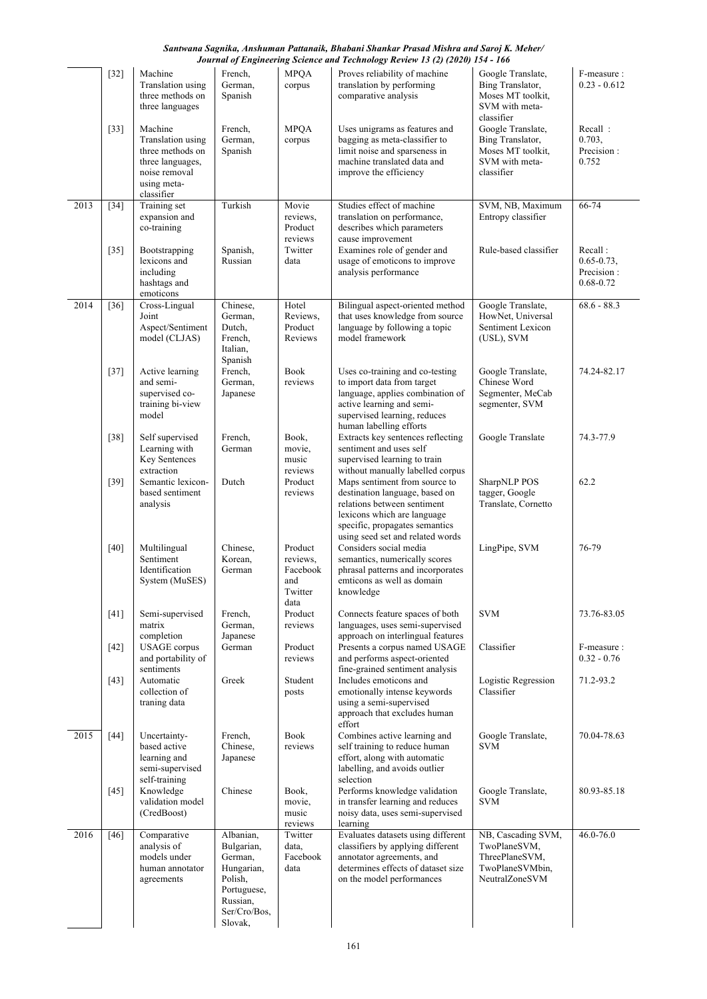#### [32] Machine Translation using three methods on three languages French, German, Spanish MPQA corpus Proves reliability of machine translation by performing comparative analysis Google Translate, Bing Translator, Moses MT toolkit, SVM with metaclassifier F-measure :  $0.23 - 0.612$ [33] Machine Translation using three methods on three languages, noise removal using metaclassifier French, German, Spanish MPQA corpus Uses unigrams as features and bagging as meta-classifier to limit noise and sparseness in machine translated data and improve the efficiency Google Translate, Bing Translator, Moses MT toolkit, SVM with metaclassifier Recall : 0.703, Precision : 0.752 2013 [34] Training set expansion and co-training Turkish Movie reviews, Product reviews Studies effect of machine translation on performance, describes which parameters cause improvement SVM, NB, Maximum Entropy classifier 66-74 [35] Bootstrapping lexicons and including hashtags and emoticons Spanish, Russian Twitter data Examines role of gender and usage of emoticons to improve analysis performance Rule-based classifier Recall :  $0.65 - 0.73$ , Precision : 0.68-0.72 2014 [36] Cross-Lingual Joint Aspect/Sentiment model (CLJAS) Chinese, German, Dutch, French, Italian, Spanish Hotel Reviews, Product Reviews Bilingual aspect-oriented method that uses knowledge from source language by following a topic model framework Google Translate, HowNet, Universal Sentiment Lexicon (USL), SVM 68.6 - 88.3 [37] Active learning and semisupervised cotraining bi-view model French, German, Japanese Book reviews Uses co-training and co-testing to import data from target language, applies combination of active learning and semisupervised learning, reduces human labelling efforts Google Translate, Chinese Word Segmenter, MeCab segmenter, SVM 74.24-82.17 [38] Self supervised Learning with Key Sentences extraction French, German Book, movie, music reviews Extracts key sentences reflecting sentiment and uses self supervised learning to train without manually labelled corpus Google Translate 74.3-77.9 [39] Semantic lexiconbased sentiment analysis Dutch Product reviews Maps sentiment from source to destination language, based on relations between sentiment lexicons which are language specific, propagates semantics using seed set and related words SharpNLP POS tagger, Google Translate, Cornetto 62.2 [40] Multilingual Sentiment Identification System (MuSES) Chinese, Korean, German Product reviews, Facebook and Twitter data Considers social media semantics, numerically scores phrasal patterns and incorporates emticons as well as domain knowledge LingPipe, SVM  $76-79$ [41] Semi-supervised matrix completion French, German, Japanese Product reviews Connects feature spaces of both languages, uses semi-supervised approach on interlingual features SVM 73.76-83.05 [42] USAGE corpus and portability of sentiments Product reviews Presents a corpus named USAGE and performs aspect-oriented fine-grained sentiment analysis Classifier F-measure : 0.32 - 0.76 [43] Automatic collection of traning data Greek Student posts Includes emoticons and emotionally intense keywords using a semi-supervised approach that excludes human effort Logistic Regression Classifier 71.2-93.2 2015 [44] Uncertaintybased active learning and semi-supervised self-training French, Chinese, Japanese Book reviews Combines active learning and self training to reduce human effort, along with automatic labelling, and avoids outlier selection Google Translate, SVM 70.04-78.63 [45] Knowledge validation model (CredBoost) Chinese Book, movie, music reviews Performs knowledge validation in transfer learning and reduces noisy data, uses semi-supervised learning Google Translate, SVM 80.93-85.18 2016 [46] Comparative analysis of models under human annotator agreements Albanian, Bulgarian, German, Hungarian, Polish, Portuguese, Russian, Ser/Cro/Bos, Slovak, **Twitter** data, Facebook data Evaluates datasets using different classifiers by applying different annotator agreements, and determines effects of dataset size on the model performances NB, Cascading SVM, TwoPlaneSVM, ThreePlaneSVM, TwoPlaneSVMbin, NeutralZoneSVM  $46.0 - 76.0$

#### *Santwana Sagnika, Anshuman Pattanaik, Bhabani Shankar Prasad Mishra and Saroj K. Meher/ Journal of Engineering Science and Technology Review 13 (2) (2020) 154 - 166*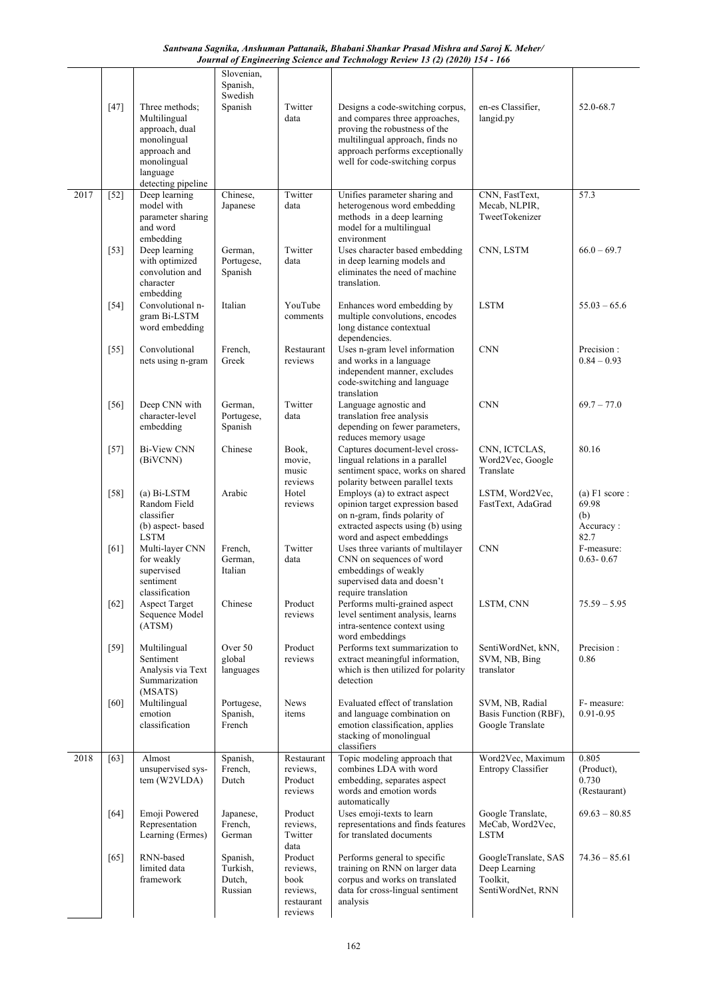*Santwana Sagnika, Anshuman Pattanaik, Bhabani Shankar Prasad Mishra and Saroj K. Meher/ Journal of Engineering Science and Technology Review 13 (2) (2020) 154 - 166*

|      | $[47]$ | Three methods:<br>Multilingual<br>approach, dual<br>monolingual<br>approach and<br>monolingual<br>language<br>detecting pipeline | Slovenian,<br>Spanish,<br>Swedish<br>Spanish | Twitter<br>data                                                  | Designs a code-switching corpus,<br>and compares three approaches,<br>proving the robustness of the<br>multilingual approach, finds no<br>approach performs exceptionally<br>well for code-switching corpus | en-es Classifier,<br>langid.py                                         | 52.0-68.7                                             |
|------|--------|----------------------------------------------------------------------------------------------------------------------------------|----------------------------------------------|------------------------------------------------------------------|-------------------------------------------------------------------------------------------------------------------------------------------------------------------------------------------------------------|------------------------------------------------------------------------|-------------------------------------------------------|
| 2017 | $[52]$ | Deep learning<br>model with<br>parameter sharing<br>and word<br>embedding                                                        | Chinese,<br>Japanese                         | Twitter<br>data                                                  | Unifies parameter sharing and<br>heterogenous word embedding<br>methods in a deep learning<br>model for a multilingual<br>environment                                                                       | CNN, FastText,<br>Mecab, NLPIR,<br>TweetTokenizer                      | 57.3                                                  |
|      | $[53]$ | Deep learning<br>with optimized<br>convolution and<br>character<br>embedding                                                     | German,<br>Portugese,<br>Spanish             | Twitter<br>data                                                  | Uses character based embedding<br>in deep learning models and<br>eliminates the need of machine<br>translation.                                                                                             | CNN, LSTM                                                              | $66.0 - 69.7$                                         |
|      | $[54]$ | Convolutional n-<br>gram Bi-LSTM<br>word embedding                                                                               | Italian                                      | YouTube<br>comments                                              | Enhances word embedding by<br>multiple convolutions, encodes<br>long distance contextual<br>dependencies.                                                                                                   | <b>LSTM</b>                                                            | $55.03 - 65.6$                                        |
|      | $[55]$ | Convolutional<br>nets using n-gram                                                                                               | French,<br>Greek                             | Restaurant<br>reviews                                            | Uses n-gram level information<br>and works in a language<br>independent manner, excludes<br>code-switching and language<br>translation                                                                      | <b>CNN</b>                                                             | Precision:<br>$0.84 - 0.93$                           |
|      | $[56]$ | Deep CNN with<br>character-level<br>embedding                                                                                    | German,<br>Portugese,<br>Spanish             | Twitter<br>data                                                  | Language agnostic and<br>translation free analysis<br>depending on fewer parameters,<br>reduces memory usage                                                                                                | <b>CNN</b>                                                             | $69.7 - 77.0$                                         |
|      | $[57]$ | <b>Bi-View CNN</b><br>(BiVCNN)                                                                                                   | Chinese                                      | Book.<br>movie,<br>music<br>reviews                              | Captures document-level cross-<br>lingual relations in a parallel<br>sentiment space, works on shared<br>polarity between parallel texts                                                                    | CNN, ICTCLAS,<br>Word2Vec, Google<br>Translate                         | 80.16                                                 |
|      | $[58]$ | $(a) Bi-LSTM$<br>Random Field<br>classifier<br>(b) aspect-based<br><b>LSTM</b>                                                   | Arabic                                       | Hotel<br>reviews                                                 | Employs (a) to extract aspect<br>opinion target expression based<br>on n-gram, finds polarity of<br>extracted aspects using (b) using<br>word and aspect embeddings                                         | LSTM, Word2Vec,<br>FastText, AdaGrad                                   | $(a)$ F1 score :<br>69.98<br>(b)<br>Accuracy:<br>82.7 |
|      | [61]   | Multi-layer CNN<br>for weakly<br>supervised<br>sentiment<br>classification                                                       | French.<br>German,<br>Italian                | Twitter<br>data                                                  | Uses three variants of multilayer<br>CNN on sequences of word<br>embeddings of weakly<br>supervised data and doesn't<br>require translation                                                                 | <b>CNN</b>                                                             | F-measure:<br>$0.63 - 0.67$                           |
|      | $[62]$ | <b>Aspect Target</b><br>Sequence Model<br>(ATSM)                                                                                 | Chinese                                      | Product<br>reviews                                               | Performs multi-grained aspect<br>level sentiment analysis, learns<br>intra-sentence context using<br>word embeddings                                                                                        | LSTM, CNN                                                              | $75.59 - 5.95$                                        |
|      | $[59]$ | Multilingual<br>Sentiment<br>Analysis via Text<br>Summarization<br>(MSATS)                                                       | Over 50<br>global<br>languages               | Product<br>reviews                                               | Performs text summarization to<br>extract meaningful information,<br>which is then utilized for polarity<br>detection                                                                                       | SentiWordNet, kNN,<br>SVM, NB, Bing<br>translator                      | Precision:<br>0.86                                    |
|      | [60]   | Multilingual<br>emotion<br>classification                                                                                        | Portugese,<br>Spanish,<br>French             | News<br>items                                                    | Evaluated effect of translation<br>and language combination on<br>emotion classification, applies<br>stacking of monolingual<br>classifiers                                                                 | SVM, NB, Radial<br>Basis Function (RBF),<br>Google Translate           | F- measure:<br>$0.91 - 0.95$                          |
| 2018 | $[63]$ | Almost<br>unsupervised sys-<br>tem (W2VLDA)                                                                                      | Spanish,<br>French,<br>Dutch                 | Restaurant<br>reviews,<br>Product<br>reviews                     | Topic modeling approach that<br>combines LDA with word<br>embedding, separates aspect<br>words and emotion words<br>automatically                                                                           | Word2Vec, Maximum<br>Entropy Classifier                                | 0.805<br>(Product),<br>0.730<br>(Restaurant)          |
|      | $[64]$ | Emoji Powered<br>Representation<br>Learning (Ermes)                                                                              | Japanese,<br>French,<br>German               | Product<br>reviews,<br>Twitter<br>data                           | Uses emoji-texts to learn<br>representations and finds features<br>for translated documents                                                                                                                 | Google Translate,<br>MeCab, Word2Vec,<br>LSTM                          | $69.63 - 80.85$                                       |
|      | [65]   | RNN-based<br>limited data<br>framework                                                                                           | Spanish,<br>Turkish,<br>Dutch,<br>Russian    | Product<br>reviews,<br>book<br>reviews.<br>restaurant<br>reviews | Performs general to specific<br>training on RNN on larger data<br>corpus and works on translated<br>data for cross-lingual sentiment<br>analysis                                                            | GoogleTranslate, SAS<br>Deep Learning<br>Toolkit,<br>SentiWordNet, RNN | $74.36 - 85.61$                                       |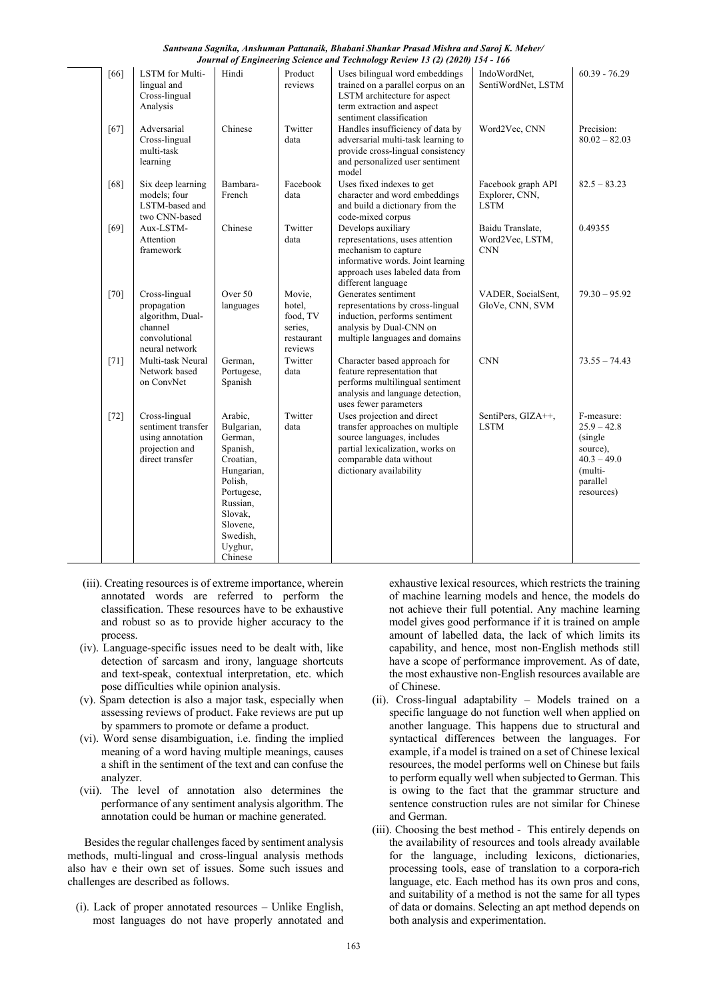| Santwana Sagnika, Anshuman Pattanaik, Bhabani Shankar Prasad Mishra and Saroj K. Meher/ |  |
|-----------------------------------------------------------------------------------------|--|
| Journal of Engineering Science and Technology Review 13 (2) (2020) 154 - 166            |  |

|        |                                                                                                |                                                                                                                                                                       |                                                                  | Journal of Engineering Science and Technology Review 15 (2) (2020) 154 - 100                                                                                                          |                                                     |                                                                                                           |
|--------|------------------------------------------------------------------------------------------------|-----------------------------------------------------------------------------------------------------------------------------------------------------------------------|------------------------------------------------------------------|---------------------------------------------------------------------------------------------------------------------------------------------------------------------------------------|-----------------------------------------------------|-----------------------------------------------------------------------------------------------------------|
| [66]   | LSTM for Multi-<br>lingual and<br>Cross-lingual<br>Analysis                                    | Hindi                                                                                                                                                                 | Product<br>reviews                                               | Uses bilingual word embeddings<br>trained on a parallel corpus on an<br>LSTM architecture for aspect<br>term extraction and aspect<br>sentiment classification                        | IndoWordNet,<br>SentiWordNet, LSTM                  | $60.39 - 76.29$                                                                                           |
| [67]   | Adversarial<br>Cross-lingual<br>multi-task<br>learning                                         | Chinese                                                                                                                                                               | Twitter<br>data                                                  | Handles insufficiency of data by<br>adversarial multi-task learning to<br>provide cross-lingual consistency<br>and personalized user sentiment<br>model                               | Word2Vec, CNN                                       | Precision:<br>$80.02 - 82.03$                                                                             |
| [68]   | Six deep learning<br>models; four<br>LSTM-based and<br>two CNN-based                           | Bambara-<br>French                                                                                                                                                    | Facebook<br>data                                                 | Uses fixed indexes to get<br>character and word embeddings<br>and build a dictionary from the<br>code-mixed corpus                                                                    | Facebook graph API<br>Explorer, CNN,<br><b>LSTM</b> | $82.5 - 83.23$                                                                                            |
| [69]   | Aux-LSTM-<br>Attention<br>framework                                                            | Chinese                                                                                                                                                               | Twitter<br>data                                                  | Develops auxiliary<br>representations, uses attention<br>mechanism to capture<br>informative words. Joint learning<br>approach uses labeled data from<br>different language           | Baidu Translate,<br>Word2Vec, LSTM,<br><b>CNN</b>   | 0.49355                                                                                                   |
| $[70]$ | Cross-lingual<br>propagation<br>algorithm, Dual-<br>channel<br>convolutional<br>neural network | Over 50<br>languages                                                                                                                                                  | Movie,<br>hotel.<br>food, TV<br>series,<br>restaurant<br>reviews | Generates sentiment<br>representations by cross-lingual<br>induction, performs sentiment<br>analysis by Dual-CNN on<br>multiple languages and domains                                 | VADER, SocialSent,<br>GloVe, CNN, SVM               | $79.30 - 95.92$                                                                                           |
| $[71]$ | Multi-task Neural<br>Network based<br>on ConvNet                                               | German,<br>Portugese,<br>Spanish                                                                                                                                      | Twitter<br>data                                                  | Character based approach for<br>feature representation that<br>performs multilingual sentiment<br>analysis and language detection,<br>uses fewer parameters                           | <b>CNN</b>                                          | $73.55 - 74.43$                                                                                           |
| $[72]$ | Cross-lingual<br>sentiment transfer<br>using annotation<br>projection and<br>direct transfer   | Arabic,<br>Bulgarian,<br>German,<br>Spanish,<br>Croatian,<br>Hungarian,<br>Polish,<br>Portugese,<br>Russian,<br>Slovak,<br>Slovene,<br>Swedish,<br>Uyghur,<br>Chinese | Twitter<br>data                                                  | Uses projection and direct<br>transfer approaches on multiple<br>source languages, includes<br>partial lexicalization, works on<br>comparable data without<br>dictionary availability | SentiPers, GIZA++,<br><b>LSTM</b>                   | F-measure:<br>$25.9 - 42.8$<br>(single)<br>source),<br>$40.3 - 49.0$<br>(multi-<br>parallel<br>resources) |

- (iii). Creating resources is of extreme importance, wherein annotated words are referred to perform the classification. These resources have to be exhaustive and robust so as to provide higher accuracy to the process.
- (iv). Language-specific issues need to be dealt with, like detection of sarcasm and irony, language shortcuts and text-speak, contextual interpretation, etc. which pose difficulties while opinion analysis.
- (v). Spam detection is also a major task, especially when assessing reviews of product. Fake reviews are put up by spammers to promote or defame a product.
- (vi). Word sense disambiguation, i.e. finding the implied meaning of a word having multiple meanings, causes a shift in the sentiment of the text and can confuse the analyzer.
- (vii). The level of annotation also determines the performance of any sentiment analysis algorithm. The annotation could be human or machine generated.

Besides the regular challenges faced by sentiment analysis methods, multi-lingual and cross-lingual analysis methods also hav e their own set of issues. Some such issues and challenges are described as follows.

(i). Lack of proper annotated resources – Unlike English, most languages do not have properly annotated and exhaustive lexical resources, which restricts the training of machine learning models and hence, the models do not achieve their full potential. Any machine learning model gives good performance if it is trained on ample amount of labelled data, the lack of which limits its capability, and hence, most non-English methods still have a scope of performance improvement. As of date, the most exhaustive non-English resources available are of Chinese.

- (ii). Cross-lingual adaptability Models trained on a specific language do not function well when applied on another language. This happens due to structural and syntactical differences between the languages. For example, if a model is trained on a set of Chinese lexical resources, the model performs well on Chinese but fails to perform equally well when subjected to German. This is owing to the fact that the grammar structure and sentence construction rules are not similar for Chinese and German.
- (iii). Choosing the best method This entirely depends on the availability of resources and tools already available for the language, including lexicons, dictionaries, processing tools, ease of translation to a corpora-rich language, etc. Each method has its own pros and cons, and suitability of a method is not the same for all types of data or domains. Selecting an apt method depends on both analysis and experimentation.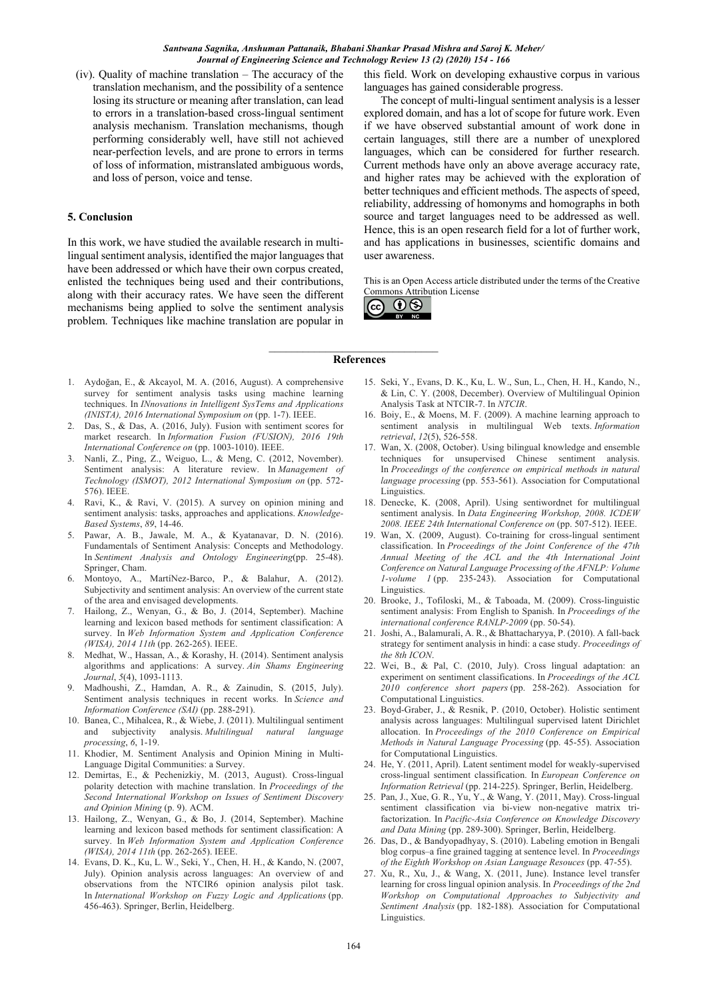(iv). Quality of machine translation – The accuracy of the translation mechanism, and the possibility of a sentence losing its structure or meaning after translation, can lead to errors in a translation-based cross-lingual sentiment analysis mechanism. Translation mechanisms, though performing considerably well, have still not achieved near-perfection levels, and are prone to errors in terms of loss of information, mistranslated ambiguous words, and loss of person, voice and tense.

#### **5. Conclusion**

In this work, we have studied the available research in multilingual sentiment analysis, identified the major languages that have been addressed or which have their own corpus created, enlisted the techniques being used and their contributions, along with their accuracy rates. We have seen the different mechanisms being applied to solve the sentiment analysis problem. Techniques like machine translation are popular in

this field. Work on developing exhaustive corpus in various languages has gained considerable progress.

The concept of multi-lingual sentiment analysis is a lesser explored domain, and has a lot of scope for future work. Even if we have observed substantial amount of work done in certain languages, still there are a number of unexplored languages, which can be considered for further research. Current methods have only an above average accuracy rate, and higher rates may be achieved with the exploration of better techniques and efficient methods. The aspects of speed, reliability, addressing of homonyms and homographs in both source and target languages need to be addressed as well. Hence, this is an open research field for a lot of further work, and has applications in businesses, scientific domains and user awareness.

This is an Open Access article distributed under the terms of the Creative Commons Attribution License



#### **References**

- 1. Aydoğan, E., & Akcayol, M. A. (2016, August). A comprehensive survey for sentiment analysis tasks using machine learning techniques. In *INnovations in Intelligent SysTems and Applications (INISTA), 2016 International Symposium on* (pp. 1-7). IEEE.
- 2. Das, S., & Das, A. (2016, July). Fusion with sentiment scores for market research. In *Information Fusion (FUSION), 2016 19th International Conference on* (pp. 1003-1010). IEEE.
- 3. Nanli, Z., Ping, Z., Weiguo, L., & Meng, C. (2012, November). Sentiment analysis: A literature review. In *Management of Technology (ISMOT), 2012 International Symposium on* (pp. 572- 576). IEEE.
- 4. Ravi, K., & Ravi, V. (2015). A survey on opinion mining and sentiment analysis: tasks, approaches and applications. *Knowledge-Based Systems*, *89*, 14-46.
- 5. Pawar, A. B., Jawale, M. A., & Kyatanavar, D. N. (2016). Fundamentals of Sentiment Analysis: Concepts and Methodology. In *Sentiment Analysis and Ontology Engineering*(pp. 25-48). Springer, Cham.
- 6. Montoyo, A., MartíNez-Barco, P., & Balahur, A. (2012). Subjectivity and sentiment analysis: An overview of the current state of the area and envisaged developments.
- 7. Hailong, Z., Wenyan, G., & Bo, J. (2014, September). Machine learning and lexicon based methods for sentiment classification: A survey. In *Web Information System and Application Conference (WISA), 2014 11th* (pp. 262-265). IEEE.
- 8. Medhat, W., Hassan, A., & Korashy, H. (2014). Sentiment analysis algorithms and applications: A survey. *Ain Shams Engineering Journal*, *5*(4), 1093-1113.
- 9. Madhoushi, Z., Hamdan, A. R., & Zainudin, S. (2015, July). Sentiment analysis techniques in recent works. In *Science and Information Conference (SAI)* (pp. 288-291).
- 10. Banea, C., Mihalcea, R., & Wiebe, J. (2011). Multilingual sentiment and subjectivity analysis. *Multilingual natural language processing*, *6*, 1-19.
- 11. Khodier, M. Sentiment Analysis and Opinion Mining in Multi-Language Digital Communities: a Survey.
- 12. Demirtas, E., & Pechenizkiy, M. (2013, August). Cross-lingual polarity detection with machine translation. In *Proceedings of the Second International Workshop on Issues of Sentiment Discovery and Opinion Mining* (p. 9). ACM.
- 13. Hailong, Z., Wenyan, G., & Bo, J. (2014, September). Machine learning and lexicon based methods for sentiment classification: A survey. In *Web Information System and Application Conference (WISA), 2014 11th* (pp. 262-265). IEEE.
- 14. Evans, D. K., Ku, L. W., Seki, Y., Chen, H. H., & Kando, N. (2007, July). Opinion analysis across languages: An overview of and observations from the NTCIR6 opinion analysis pilot task. In *International Workshop on Fuzzy Logic and Applications* (pp. 456-463). Springer, Berlin, Heidelberg.
- 15. Seki, Y., Evans, D. K., Ku, L. W., Sun, L., Chen, H. H., Kando, N., & Lin, C. Y. (2008, December). Overview of Multilingual Opinion Analysis Task at NTCIR-7. In *NTCIR*.
- 16. Boiy, E., & Moens, M. F. (2009). A machine learning approach to sentiment analysis in multilingual Web texts. *Information retrieval*, *12*(5), 526-558.
- 17. Wan, X. (2008, October). Using bilingual knowledge and ensemble techniques for unsupervised Chinese sentiment analysis. In *Proceedings of the conference on empirical methods in natural language processing* (pp. 553-561). Association for Computational Linguistics.
- 18. Denecke, K. (2008, April). Using sentiwordnet for multilingual sentiment analysis. In *Data Engineering Workshop, 2008. ICDEW 2008. IEEE 24th International Conference on* (pp. 507-512). IEEE.
- 19. Wan, X. (2009, August). Co-training for cross-lingual sentiment classification. In *Proceedings of the Joint Conference of the 47th Annual Meeting of the ACL and the 4th International Joint Conference on Natural Language Processing of the AFNLP: Volume 1-volume 1* (pp. 235-243). Association for Computational Linguistics.
- 20. Brooke, J., Tofiloski, M., & Taboada, M. (2009). Cross-linguistic sentiment analysis: From English to Spanish. In *Proceedings of the international conference RANLP-2009* (pp. 50-54).
- 21. Joshi, A., Balamurali, A. R., & Bhattacharyya, P. (2010). A fall-back strategy for sentiment analysis in hindi: a case study. *Proceedings of the 8th ICON*.
- 22. Wei, B., & Pal, C. (2010, July). Cross lingual adaptation: an experiment on sentiment classifications. In *Proceedings of the ACL 2010 conference short papers* (pp. 258-262). Association for Computational Linguistics.
- 23. Boyd-Graber, J., & Resnik, P. (2010, October). Holistic sentiment analysis across languages: Multilingual supervised latent Dirichlet allocation. In *Proceedings of the 2010 Conference on Empirical Methods in Natural Language Processing* (pp. 45-55). Association for Computational Linguistics.
- 24. He, Y. (2011, April). Latent sentiment model for weakly-supervised cross-lingual sentiment classification. In *European Conference on Information Retrieval* (pp. 214-225). Springer, Berlin, Heidelberg.
- 25. Pan, J., Xue, G. R., Yu, Y., & Wang, Y. (2011, May). Cross-lingual sentiment classification via bi-view non-negative matrix trifactorization. In *Pacific-Asia Conference on Knowledge Discovery and Data Mining* (pp. 289-300). Springer, Berlin, Heidelberg.
- 26. Das, D., & Bandyopadhyay, S. (2010). Labeling emotion in Bengali blog corpus–a fine grained tagging at sentence level. In *Proceedings of the Eighth Workshop on Asian Language Resouces* (pp. 47-55).
- 27. Xu, R., Xu, J., & Wang, X. (2011, June). Instance level transfer learning for cross lingual opinion analysis. In *Proceedings of the 2nd Workshop on Computational Approaches to Subjectivity and Sentiment Analysis* (pp. 182-188). Association for Computational Linguistics.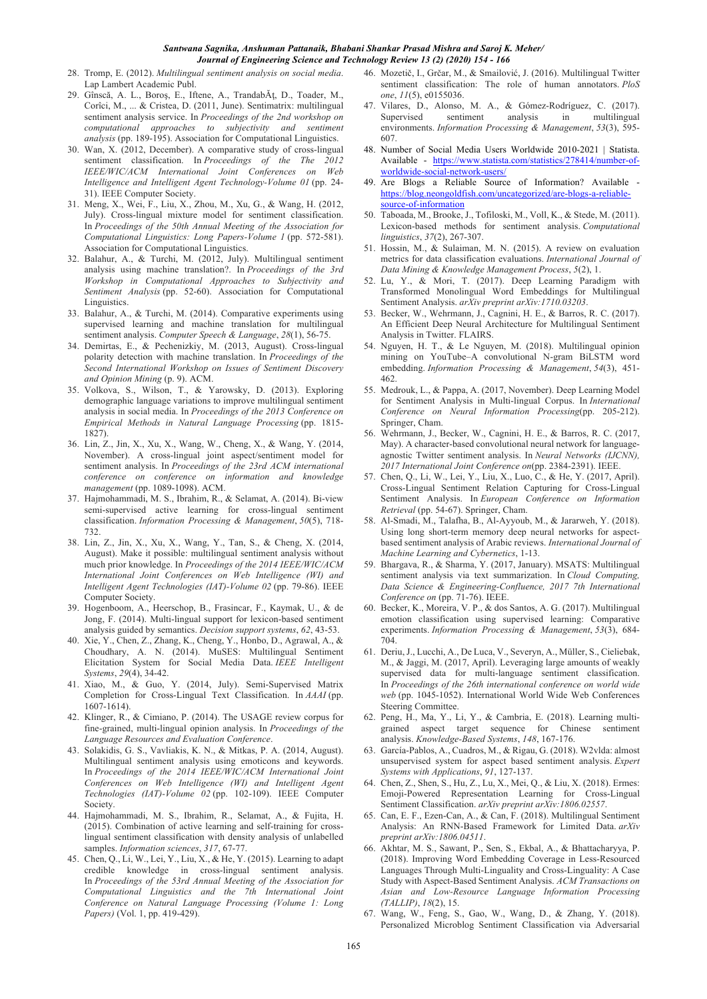- 28. Tromp, E. (2012). *Multilingual sentiment analysis on social media*. Lap Lambert Academic Publ.
- 29. Gînscă, A. L., Boroş, E., Iftene, A., TrandabĂţ, D., Toader, M., Corîci, M., ... & Cristea, D. (2011, June). Sentimatrix: multilingual sentiment analysis service. In *Proceedings of the 2nd workshop on computational approaches to subjectivity and sentiment analysis* (pp. 189-195). Association for Computational Linguistics.
- 30. Wan, X. (2012, December). A comparative study of cross-lingual sentiment classification. In *Proceedings of the The 2012 IEEE/WIC/ACM International Joint Conferences on Web Intelligence and Intelligent Agent Technology-Volume 01* (pp. 24- 31). IEEE Computer Society.
- 31. Meng, X., Wei, F., Liu, X., Zhou, M., Xu, G., & Wang, H. (2012, July). Cross-lingual mixture model for sentiment classification. In *Proceedings of the 50th Annual Meeting of the Association for Computational Linguistics: Long Papers-Volume 1* (pp. 572-581). Association for Computational Linguistics.
- 32. Balahur, A., & Turchi, M. (2012, July). Multilingual sentiment analysis using machine translation?. In *Proceedings of the 3rd Workshop in Computational Approaches to Subjectivity and Sentiment Analysis* (pp. 52-60). Association for Computational Linguistics.
- 33. Balahur, A., & Turchi, M. (2014). Comparative experiments using supervised learning and machine translation for multilingual sentiment analysis. *Computer Speech & Language*, *28*(1), 56-75.
- 34. Demirtas, E., & Pechenizkiy, M. (2013, August). Cross-lingual polarity detection with machine translation. In *Proceedings of the Second International Workshop on Issues of Sentiment Discovery and Opinion Mining* (p. 9). ACM.
- 35. Volkova, S., Wilson, T., & Yarowsky, D. (2013). Exploring demographic language variations to improve multilingual sentiment analysis in social media. In *Proceedings of the 2013 Conference on Empirical Methods in Natural Language Processing* (pp. 1815- 1827).
- 36. Lin, Z., Jin, X., Xu, X., Wang, W., Cheng, X., & Wang, Y. (2014, November). A cross-lingual joint aspect/sentiment model for sentiment analysis. In *Proceedings of the 23rd ACM international conference on conference on information and knowledge management* (pp. 1089-1098). ACM.
- 37. Hajmohammadi, M. S., Ibrahim, R., & Selamat, A. (2014). Bi-view semi-supervised active learning for cross-lingual sentiment classification. *Information Processing & Management*, *50*(5), 718- 732.
- 38. Lin, Z., Jin, X., Xu, X., Wang, Y., Tan, S., & Cheng, X. (2014, August). Make it possible: multilingual sentiment analysis without much prior knowledge. In *Proceedings of the 2014 IEEE/WIC/ACM International Joint Conferences on Web Intelligence (WI) and Intelligent Agent Technologies (IAT)-Volume 02* (pp. 79-86). IEEE Computer Society.
- 39. Hogenboom, A., Heerschop, B., Frasincar, F., Kaymak, U., & de Jong, F. (2014). Multi-lingual support for lexicon-based sentiment analysis guided by semantics. *Decision support systems*, *62*, 43-53.
- 40. Xie, Y., Chen, Z., Zhang, K., Cheng, Y., Honbo, D., Agrawal, A., & Choudhary, A. N. (2014). MuSES: Multilingual Sentiment Elicitation System for Social Media Data. *IEEE Intelligent Systems*, *29*(4), 34-42.
- 41. Xiao, M., & Guo, Y. (2014, July). Semi-Supervised Matrix Completion for Cross-Lingual Text Classification. In *AAAI* (pp. 1607-1614).
- 42. Klinger, R., & Cimiano, P. (2014). The USAGE review corpus for fine-grained, multi-lingual opinion analysis. In *Proceedings of the Language Resources and Evaluation Conference*.
- 43. Solakidis, G. S., Vavliakis, K. N., & Mitkas, P. A. (2014, August). Multilingual sentiment analysis using emoticons and keywords. In *Proceedings of the 2014 IEEE/WIC/ACM International Joint Conferences on Web Intelligence (WI) and Intelligent Agent Technologies (IAT)-Volume 02* (pp. 102-109). IEEE Computer Society.
- 44. Hajmohammadi, M. S., Ibrahim, R., Selamat, A., & Fujita, H. (2015). Combination of active learning and self-training for crosslingual sentiment classification with density analysis of unlabelled samples. *Information sciences*, *317*, 67-77.
- 45. Chen, Q., Li, W., Lei, Y., Liu, X., & He, Y. (2015). Learning to adapt credible knowledge in cross-lingual sentiment analysis. In *Proceedings of the 53rd Annual Meeting of the Association for Computational Linguistics and the 7th International Joint Conference on Natural Language Processing (Volume 1: Long Papers)* (Vol. 1, pp. 419-429).
- 46. Mozetič, I., Grčar, M., & Smailović, J. (2016). Multilingual Twitter sentiment classification: The role of human annotators. *PloS one*, *11*(5), e0155036.
- 47. Vilares, D., Alonso, M. A., & Gómez-Rodríguez, C. (2017). Supervised sentiment analysis in multilingual environments. *Information Processing & Management*, *53*(3), 595- 607.
- 48. Number of Social Media Users Worldwide 2010-2021 | Statista. Available - https://www.statista.com/statistics/278414/number-ofworldwide-social-network-users/
- 49. Are Blogs a Reliable Source of Information? Available https://blog.neongoldfish.com/uncategorized/are-blogs-a-reliablesource-of-information
- 50. Taboada, M., Brooke, J., Tofiloski, M., Voll, K., & Stede, M. (2011). Lexicon-based methods for sentiment analysis. *Computational linguistics*, *37*(2), 267-307.
- 51. Hossin, M., & Sulaiman, M. N. (2015). A review on evaluation metrics for data classification evaluations. *International Journal of Data Mining & Knowledge Management Process*, *5*(2), 1.
- 52. Lu, Y., & Mori, T. (2017). Deep Learning Paradigm with Transformed Monolingual Word Embeddings for Multilingual Sentiment Analysis. *arXiv preprint arXiv:1710.03203*.
- 53. Becker, W., Wehrmann, J., Cagnini, H. E., & Barros, R. C. (2017). An Efficient Deep Neural Architecture for Multilingual Sentiment Analysis in Twitter. FLAIRS.
- 54. Nguyen, H. T., & Le Nguyen, M. (2018). Multilingual opinion mining on YouTube–A convolutional N-gram BiLSTM word embedding. *Information Processing & Management*, *54*(3), 451- 462.
- 55. Medrouk, L., & Pappa, A. (2017, November). Deep Learning Model for Sentiment Analysis in Multi-lingual Corpus. In *International Conference on Neural Information Processing*(pp. 205-212). Springer, Cham.
- 56. Wehrmann, J., Becker, W., Cagnini, H. E., & Barros, R. C. (2017, May). A character-based convolutional neural network for languageagnostic Twitter sentiment analysis. In *Neural Networks (IJCNN), 2017 International Joint Conference on*(pp. 2384-2391). IEEE.
- 57. Chen, Q., Li, W., Lei, Y., Liu, X., Luo, C., & He, Y. (2017, April). Cross-Lingual Sentiment Relation Capturing for Cross-Lingual Sentiment Analysis. In *European Conference on Information Retrieval* (pp. 54-67). Springer, Cham.
- 58. Al-Smadi, M., Talafha, B., Al-Ayyoub, M., & Jararweh, Y. (2018). Using long short-term memory deep neural networks for aspectbased sentiment analysis of Arabic reviews. *International Journal of Machine Learning and Cybernetics*, 1-13.
- 59. Bhargava, R., & Sharma, Y. (2017, January). MSATS: Multilingual sentiment analysis via text summarization. In *Cloud Computing, Data Science & Engineering-Confluence, 2017 7th International Conference on* (pp. 71-76). IEEE.
- 60. Becker, K., Moreira, V. P., & dos Santos, A. G. (2017). Multilingual emotion classification using supervised learning: Comparative experiments. *Information Processing & Management*, *53*(3), 684- 704.
- 61. Deriu, J., Lucchi, A., De Luca, V., Severyn, A., Müller, S., Cieliebak, M., & Jaggi, M. (2017, April). Leveraging large amounts of weakly supervised data for multi-language sentiment classification. In *Proceedings of the 26th international conference on world wide web* (pp. 1045-1052). International World Wide Web Conferences Steering Committee.
- 62. Peng, H., Ma, Y., Li, Y., & Cambria, E. (2018). Learning multigrained aspect target sequence for Chinese sentiment analysis. *Knowledge-Based Systems*, *148*, 167-176.
- 63. García-Pablos, A., Cuadros, M., & Rigau, G. (2018). W2vlda: almost unsupervised system for aspect based sentiment analysis. *Expert Systems with Applications*, *91*, 127-137.
- 64. Chen, Z., Shen, S., Hu, Z., Lu, X., Mei, Q., & Liu, X. (2018). Ermes: Emoji-Powered Representation Learning for Cross-Lingual Sentiment Classification. *arXiv preprint arXiv:1806.02557*.
- 65. Can, E. F., Ezen-Can, A., & Can, F. (2018). Multilingual Sentiment Analysis: An RNN-Based Framework for Limited Data. *arXiv preprint arXiv:1806.04511*.
- 66. Akhtar, M. S., Sawant, P., Sen, S., Ekbal, A., & Bhattacharyya, P. (2018). Improving Word Embedding Coverage in Less-Resourced Languages Through Multi-Linguality and Cross-Linguality: A Case Study with Aspect-Based Sentiment Analysis. *ACM Transactions on Asian and Low-Resource Language Information Processing (TALLIP)*, *18*(2), 15.
- 67. Wang, W., Feng, S., Gao, W., Wang, D., & Zhang, Y. (2018). Personalized Microblog Sentiment Classification via Adversarial